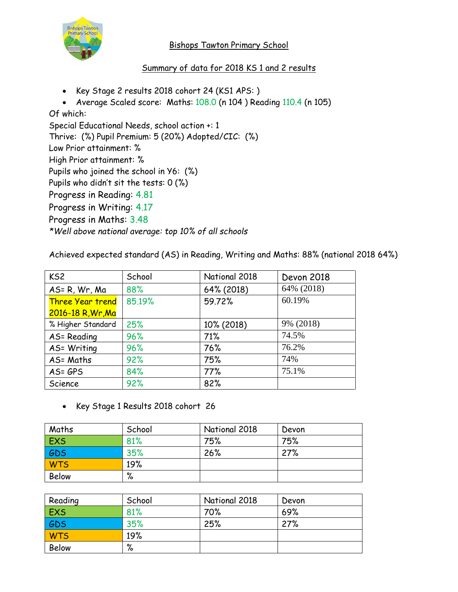

Bishops Tawton Primary School

## Summary of data for 2018 KS 1 and 2 results

- Key Stage 2 results 2018 cohort 24 (KS1 APS:)
- Average Scaled score: Maths: 108.0 (n 104 ) Reading 110.4 (n 105)

Of which:

Special Educational Needs, school action +: 1

Thrive: (%) Pupil Premium: 5 (20%) Adopted/CIC: (%)

Low Prior attainment: %

High Prior attainment: %

Pupils who joined the school in Y6: (%)

Pupils who didn't sit the tests: 0 (%)

Progress in Reading: 4.81

Progress in Writing: 4.17

Progress in Maths: 3.48

*\*Well above national average: top 10% of all schools* 

Achieved expected standard (AS) in Reading, Writing and Maths: 88% (national 2018 64%)

| KS <sub>2</sub>         | School | National 2018 | <b>Devon 2018</b> |
|-------------------------|--------|---------------|-------------------|
| AS= R, Wr, Ma           | 88%    | 64% (2018)    | 64% (2018)        |
| <b>Three Year trend</b> | 85.19% | 59.72%        | 60.19%            |
| 2016-18 R, Wr, Ma       |        |               |                   |
| % Higher Standard       | 25%    | 10% (2018)    | 9% (2018)         |
| AS= Reading             | 96%    | 71%           | 74.5%             |
| AS= Writing             | 96%    | 76%           | 76.2%             |
| AS= Maths               | 92%    | 75%           | 74%               |
| AS= GPS                 | 84%    | 77%           | 75.1%             |
| Science                 | 92%    | 82%           |                   |

## • Key Stage 1 Results 2018 cohort 26

| <b>Maths</b> | School | National 2018 | Devon |
|--------------|--------|---------------|-------|
| EXS          | 81%    | 75%           | 75%   |
| GDS<br>WTS   | 35%    | 26%           | 27%   |
|              | 19%    |               |       |
| Below        | $\%$   |               |       |

| Reading    | School | National 2018 | Devon |
|------------|--------|---------------|-------|
| EXS        | 81%    | 70%           | 69%   |
| 6DS        | 35%    | 25%           | 27%   |
| <b>WTS</b> | 19%    |               |       |
| Below      | $\%$   |               |       |